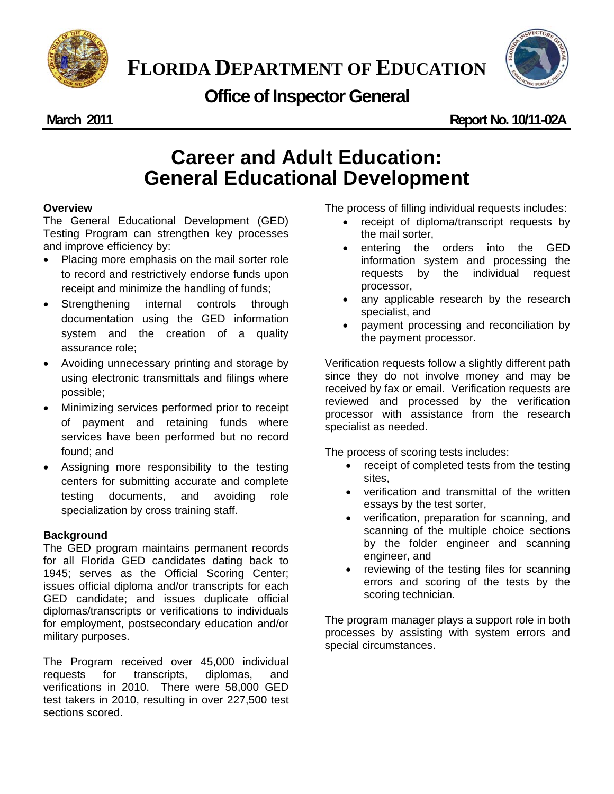



## **Office of Inspector General**

**March 2011 Report No. 10/11-02A** 

# **Career and Adult Education: General Educational Development**

#### **Overview**

The General Educational Development (GED) Testing Program can strengthen key processes and improve efficiency by:

- Placing more emphasis on the mail sorter role to record and restrictively endorse funds upon receipt and minimize the handling of funds;
- Strengthening internal controls through documentation using the GED information system and the creation of a quality assurance role;
- Avoiding unnecessary printing and storage by using electronic transmittals and filings where possible;
- Minimizing services performed prior to receipt of payment and retaining funds where services have been performed but no record found; and
- Assigning more responsibility to the testing centers for submitting accurate and complete testing documents, and avoiding role specialization by cross training staff.

### **Background**

The GED program maintains permanent records for all Florida GED candidates dating back to 1945; serves as the Official Scoring Center; issues official diploma and/or transcripts for each GED candidate; and issues duplicate official diplomas/transcripts or verifications to individuals for employment, postsecondary education and/or military purposes.

 verifications in 2010. There were 58,000 GED The Program received over 45,000 individual requests for transcripts, diplomas, and test takers in 2010, resulting in over 227,500 test sections scored.

The process of filling individual requests includes:

- receipt of diploma/transcript requests by the mail sorter,
- entering the orders into the GED information system and processing the requests by the individual request processor,
- any applicable research by the research specialist, and
- payment processing and reconciliation by the payment processor.

Verification requests follow a slightly different path since they do not involve money and may be received by fax or email. Verification requests are reviewed and processed by the verification processor with assistance from the research specialist as needed.

The process of scoring tests includes:

- receipt of completed tests from the testing sites,
- essays by the test sorter, verification and transmittal of the written
- verification, preparation for scanning, and scanning of the multiple choice sections by the folder engineer and scanning engineer, and
- reviewing of the testing files for scanning errors and scoring of the tests by the scoring technician.

The program manager plays a support role in both processes by assisting with system errors and special circumstances.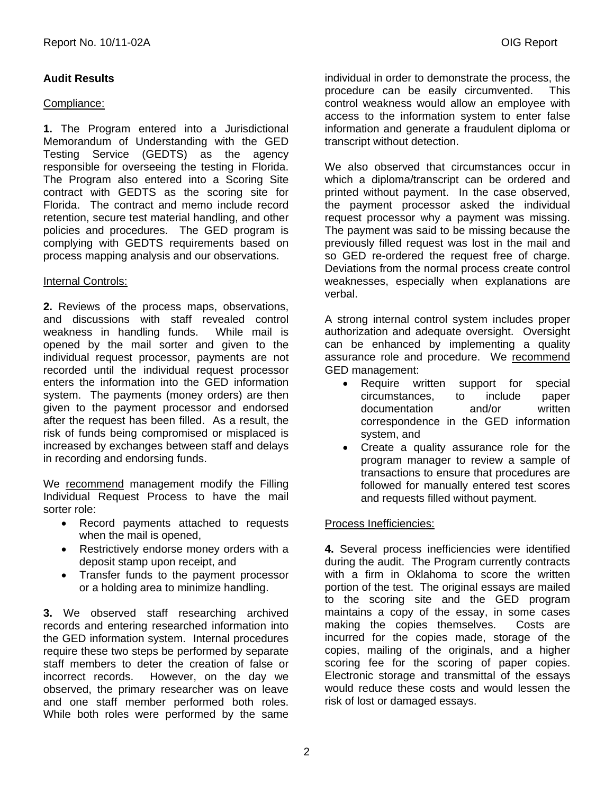### **Audit Results**

#### Compliance:

**1.** The Program entered into a Jurisdictional Memorandum of Understanding with the GED Testing Service (GEDTS) as the agency responsible for overseeing the testing in Florida. The Program also entered into a Scoring Site contract with GEDTS as the scoring site for Florida. The contract and memo include record retention, secure test material handling, and other policies and procedures. The GED program is complying with GEDTS requirements based on process mapping analysis and our observations.

#### **Internal Controls:**

**2.** Reviews of the process maps, observations, and discussions with staff revealed control weakness in handling funds. While mail is opened by the mail sorter and given to the individual request processor, payments are not recorded until the individual request processor enters the information into the GED information system. The payments (money orders) are then given to the payment processor and endorsed after the request has been filled. As a result, the risk of funds being compromised or misplaced is increased by exchanges between staff and delays in recording and endorsing funds.

We recommend management modify the Filling Individual Request Process to have the mail sorter role:

- Record payments attached to requests when the mail is opened,
- Restrictively endorse money orders with a deposit stamp upon receipt, and
- Transfer funds to the payment processor or a holding area to minimize handling.

**3.** We observed staff researching archived records and entering researched information into the GED information system. Internal procedures require these two steps be performed by separate staff members to deter the creation of false or incorrect records. However, on the day we observed, the primary researcher was on leave and one staff member performed both roles. While both roles were performed by the same

individual in order to demonstrate the process, the procedure can be easily circumvented. This control weakness would allow an employee with access to the information system to enter false information and generate a fraudulent diploma or transcript without detection.

 request processor why a payment was missing. The payment was said to be missing because the so GED re-ordered the request free of charge. We also observed that circumstances occur in which a diploma/transcript can be ordered and printed without payment. In the case observed, the payment processor asked the individual previously filled request was lost in the mail and Deviations from the normal process create control weaknesses, especially when explanations are verbal.

A strong internal control system includes proper authorization and adequate oversight. Oversight can be enhanced by implementing a quality assurance role and procedure. We recommend GED management:

- Require written support for special circumstances, to include paper documentation and/or written correspondence in the GED information system, and
- Create a quality assurance role for the program manager to review a sample of transactions to ensure that procedures are followed for manually entered test scores and requests filled without payment.

#### Process Inefficiencies:

scoring fee for the scoring of paper copies. **4.** Several process inefficiencies were identified during the audit. The Program currently contracts with a firm in Oklahoma to score the written portion of the test. The original essays are mailed to the scoring site and the GED program maintains a copy of the essay, in some cases making the copies themselves. Costs are incurred for the copies made, storage of the copies, mailing of the originals, and a higher Electronic storage and transmittal of the essays. would reduce these costs and would lessen the risk of lost or damaged essays.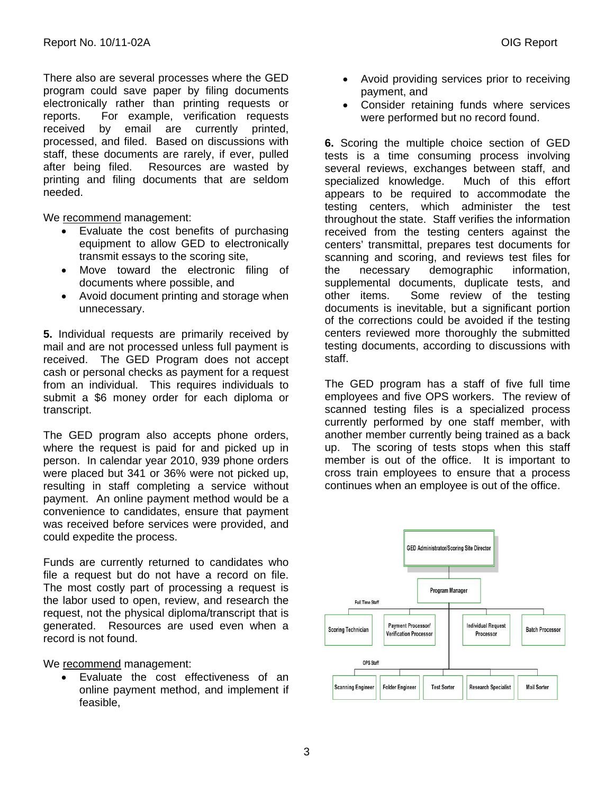There also are several processes where the GED program could save paper by filing documents electronically rather than printing requests or reports. For example, verification requests received by email are currently printed, processed, and filed. Based on discussions with staff, these documents are rarely, if ever, pulled after being filed. Resources are wasted by printing and filing documents that are seldom needed.

We recommend management:

- Evaluate the cost benefits of purchasing equipment to allow GED to electronically transmit essays to the scoring site,
- Move toward the electronic filing of documents where possible, and
- Avoid document printing and storage when unnecessary.

**5.** Individual requests are primarily received by mail and are not processed unless full payment is received. The GED Program does not accept cash or personal checks as payment for a request from an individual. This requires individuals to submit a \$6 money order for each diploma or transcript.

The GED program also accepts phone orders, where the request is paid for and picked up in person. In calendar year 2010, 939 phone orders were placed but 341 or 36% were not picked up, resulting in staff completing a service without payment. An online payment method would be a convenience to candidates, ensure that payment was received before services were provided, and could expedite the process.

 file a request but do not have a record on file. The most costly part of processing a request is Funds are currently returned to candidates who the labor used to open, review, and research the request, not the physical diploma/transcript that is generated. Resources are used even when a record is not found.

We recommend management:

 Evaluate the cost effectiveness of an online payment method, and implement if feasible,

- Avoid providing services prior to receiving payment, and
- Consider retaining funds where services were performed but no record found.

**6.** Scoring the multiple choice section of GED tests is a time consuming process involving several reviews, exchanges between staff, and specialized knowledge. Much of this effort appears to be required to accommodate the testing centers, which administer the test throughout the state. Staff verifies the information received from the testing centers against the centers' transmittal, prepares test documents for scanning and scoring, and reviews test files for the necessary demographic information, supplemental documents, duplicate tests, and other items. Some review of the testing documents is inevitable, but a significant portion of the corrections could be avoided if the testing centers reviewed more thoroughly the submitted testing documents, according to discussions with staff.

The GED program has a staff of five full time employees and five OPS workers. The review of scanned testing files is a specialized process currently performed by one staff member, with another member currently being trained as a back up. The scoring of tests stops when this staff member is out of the office. It is important to cross train employees to ensure that a process continues when an employee is out of the office.



3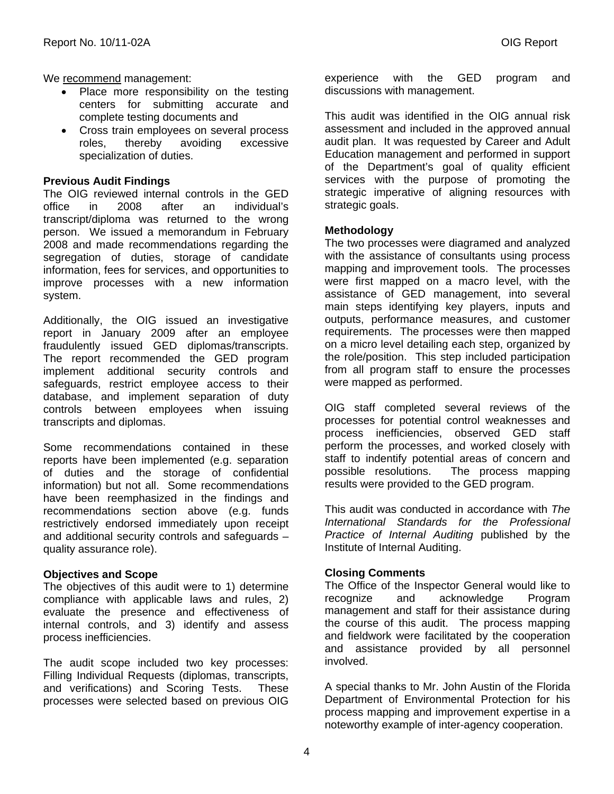We recommend management:

- Place more responsibility on the testing centers for submitting accurate and complete testing documents and
- Cross train employees on several process roles, thereby avoiding excessive specialization of duties.

#### **Previous Audit Findings**

The OIG reviewed internal controls in the GED office in 2008 after an individual's transcript/diploma was returned to the wrong person. We issued a memorandum in February 2008 and made recommendations regarding the segregation of duties, storage of candidate information, fees for services, and opportunities to improve processes with a new information system.

Additionally, the OIG issued an investigative report in January 2009 after an employee fraudulently issued GED diplomas/transcripts. The report recommended the GED program implement additional security controls and safeguards, restrict employee access to their database, and implement separation of duty controls between employees when issuing transcripts and diplomas.

Some recommendations contained in these reports have been implemented (e.g. separation of duties and the storage of confidential information) but not all. Some recommendations have been reemphasized in the findings and recommendations section above (e.g. funds restrictively endorsed immediately upon receipt and additional security controls and safeguards – quality assurance role).

#### **Objectives and Scope**

The objectives of this audit were to 1) determine compliance with applicable laws and rules, 2) evaluate the presence and effectiveness of internal controls, and 3) identify and assess process inefficiencies.

The audit scope included two key processes: Filling Individual Requests (diplomas, transcripts, and verifications) and Scoring Tests. These processes were selected based on previous OIG

experience with the GED program and discussions with management.

 audit plan. It was requested by Career and Adult This audit was identified in the OIG annual risk assessment and included in the approved annual Education management and performed in support of the Department's goal of quality efficient services with the purpose of promoting the strategic imperative of aligning resources with strategic goals.

#### **Methodology**

The two processes were diagramed and analyzed with the assistance of consultants using process mapping and improvement tools. The processes were first mapped on a macro level, with the assistance of GED management, into several main steps identifying key players, inputs and outputs, performance measures, and customer requirements. The processes were then mapped on a micro level detailing each step, organized by the role/position. This step included participation from all program staff to ensure the processes were mapped as performed.

OIG staff completed several reviews of the processes for potential control weaknesses and process inefficiencies, observed GED staff perform the processes, and worked closely with staff to indentify potential areas of concern and possible resolutions. The process mapping results were provided to the GED program.

This audit was conducted in accordance with *The International Standards for the Professional Practice of Internal Auditing* published by the Institute of Internal Auditing.

#### **Closing Comments**

The Office of the Inspector General would like to recognize and acknowledge Program management and staff for their assistance during the course of this audit. The process mapping and fieldwork were facilitated by the cooperation and assistance provided by all personnel involved.

A special thanks to Mr. John Austin of the Florida Department of Environmental Protection for his process mapping and improvement expertise in a noteworthy example of inter-agency cooperation.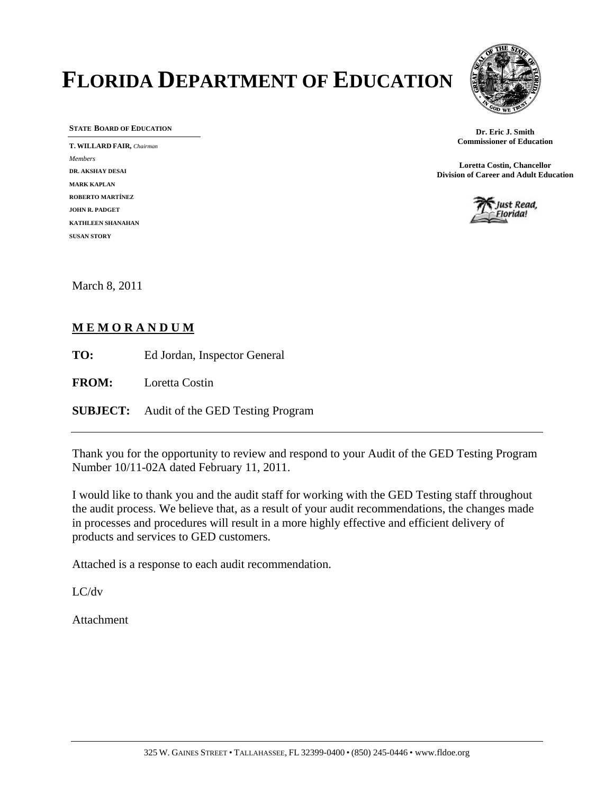# **FLORIDA DEPARTMENT OF EDUCATION**



**STATE BOARD OF EDUCATION** 

 **T. WILLARD FAIR,** *Chairman Members*  **DR. AKSHAY DESAI MARK KAPLAN ROBERTO MARTÍNEZ JOHN R. PADGET KATHLEEN SHANAHAN SUSAN STORY** 

**Dr. Eric J. Smith Commissioner of Education** 

**Loretta Costin, Chancellor Division of Career and Adult Education**



March 8, 2011

#### **M E M O R A N D U M**

**TO:** Ed Jordan, Inspector General

**FROM:** Loretta Costin

**SUBJECT: SUBJECT:** Audit of the GED Testing Program

Thank you for the opportunity to review and respond to your Audit of the GED Testing Program Number 10/11-02A dated February 11, 2011.

I would like to thank you and the audit staff for working with the GED Testing staff throughout the audit process. We believe that, as a result of your audit recommendations, the changes made in processes and procedures will result in a more highly effective and efficient delivery of products and services to GED customers.

Attached is a response to each audit recommendation.

LC/dv

Attachment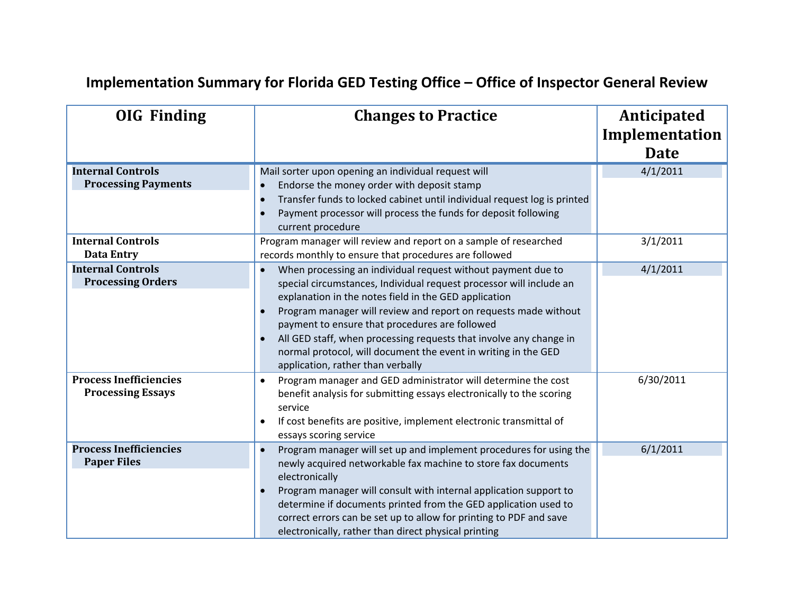# **Implementation Summary for Florida GED Testing Office – Office of Inspector General Review**

| <b>OIG Finding</b>                                        | <b>Changes to Practice</b>                                                                                                                                                                                                                                                                                                                                                                                                                                                                     | Anticipated<br>Implementation<br><b>Date</b> |
|-----------------------------------------------------------|------------------------------------------------------------------------------------------------------------------------------------------------------------------------------------------------------------------------------------------------------------------------------------------------------------------------------------------------------------------------------------------------------------------------------------------------------------------------------------------------|----------------------------------------------|
| <b>Internal Controls</b><br><b>Processing Payments</b>    | Mail sorter upon opening an individual request will<br>Endorse the money order with deposit stamp<br>Transfer funds to locked cabinet until individual request log is printed<br>Payment processor will process the funds for deposit following<br>current procedure                                                                                                                                                                                                                           | 4/1/2011                                     |
| <b>Internal Controls</b><br><b>Data Entry</b>             | Program manager will review and report on a sample of researched<br>records monthly to ensure that procedures are followed                                                                                                                                                                                                                                                                                                                                                                     | 3/1/2011                                     |
| <b>Internal Controls</b><br><b>Processing Orders</b>      | When processing an individual request without payment due to<br>special circumstances, Individual request processor will include an<br>explanation in the notes field in the GED application<br>Program manager will review and report on requests made without<br>payment to ensure that procedures are followed<br>All GED staff, when processing requests that involve any change in<br>normal protocol, will document the event in writing in the GED<br>application, rather than verbally | 4/1/2011                                     |
| <b>Process Inefficiencies</b><br><b>Processing Essays</b> | Program manager and GED administrator will determine the cost<br>$\bullet$<br>benefit analysis for submitting essays electronically to the scoring<br>service<br>If cost benefits are positive, implement electronic transmittal of<br>essays scoring service                                                                                                                                                                                                                                  | 6/30/2011                                    |
| <b>Process Inefficiencies</b><br><b>Paper Files</b>       | Program manager will set up and implement procedures for using the<br>newly acquired networkable fax machine to store fax documents<br>electronically<br>Program manager will consult with internal application support to<br>determine if documents printed from the GED application used to<br>correct errors can be set up to allow for printing to PDF and save<br>electronically, rather than direct physical printing                                                                    | 6/1/2011                                     |